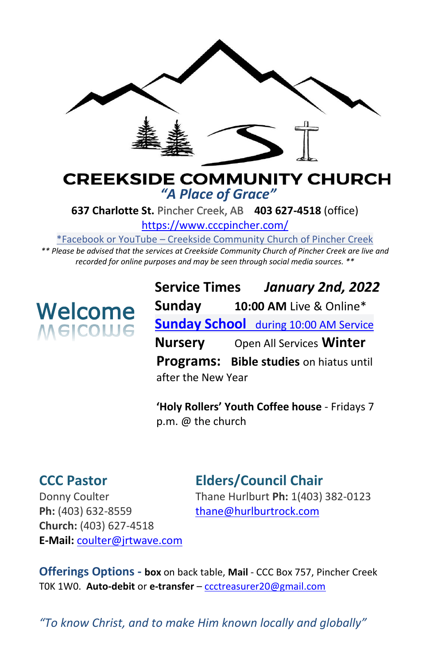

#### **CREEKSIDE COMMUNITY CHURCH** *"A Place of Grace"*

**637 Charlotte St.** Pincher Creek, AB **403 627-4518** (office)

<https://www.cccpincher.com/>

\*Facebook or YouTube – Creekside Community Church of Pincher Creek

*\*\* Please be advised that the services at Creekside Community Church of Pincher Creek are live and recorded for online purposes and may be seen through social media sources. \*\**

# **Welcome**<br>Melcolue

**Service Times** *January 2nd, 2022* **Sunday 10:00 AM** Live & Online\* **Sunday School** during 10:00 AM Service **Nursery** Open All Services **Winter Programs: Bible studies** on hiatus until after the New Year

**'Holy Rollers' Youth Coffee house** - Fridays 7 p.m. @ the church

### **CCC Pastor Elders/Council Chair**

Ph: (403) 632-8559 [thane@hurlburtrock.com](mailto:thane@hurlburtrock.com) **Church:** (403) 627-4518 **E-Mail:** [coulter@jrtwave.com](mailto:coulter@jrtwave.com)

Donny Coulter Thane Hurlburt **Ph:** 1(403) 382-0123

**Offerings Options - box** on back table, **Mail** - CCC Box 757, Pincher Creek T0K 1W0. **Auto-debit** or **e-transfer** – [ccctreasurer20@gmail.com](mailto:ccctreasurer20@gmail.com)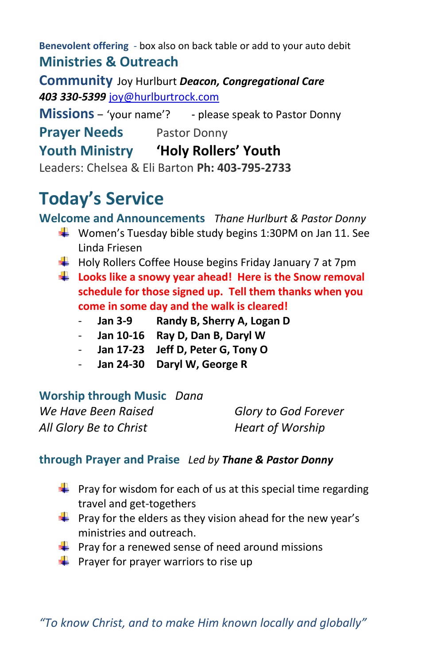**Benevolent offering** - box also on back table or add to your auto debit **Ministries & Outreach** 

**Community** Joy Hurlburt *Deacon, Congregational Care 403 330-5399* [joy@hurlburtrock.com](mailto:joy@hurlburtrock.com)

**Missions** – 'your name'? - please speak to Pastor Donny

**Prayer Needs** Pastor Donny

**Youth Ministry 'Holy Rollers' Youth**

Leaders: Chelsea & Eli Barton **Ph: 403-795-2733**

## **Today's Service**

**Welcome and Announcements** *Thane Hurlburt & Pastor Donny*

- $\downarrow$  Women's Tuesday bible study begins 1:30PM on Jan 11. See Linda Friesen
- $\downarrow$  Holy Rollers Coffee House begins Friday January 7 at 7pm
- **Looks like a snowy year ahead! Here is the Snow removal schedule for those signed up. Tell them thanks when you come in some day and the walk is cleared!**
	- **Jan 3-9 Randy B, Sherry A, Logan D**
	- **Jan 10-16 Ray D, Dan B, Daryl W**
	- **Jan 17-23 Jeff D, Peter G, Tony O**
	- **Jan 24-30 Daryl W, George R**

#### **Worship through Music** *Dana*

*We Have Been Raised Glory to God Forever All Glory Be to Christ Heart of Worship*

#### **through Prayer and Praise** *Led by Thane & Pastor Donny*

- $\downarrow$  Pray for wisdom for each of us at this special time regarding travel and get-togethers
- $\downarrow$  Pray for the elders as they vision ahead for the new year's ministries and outreach.
- $\frac{1}{2}$  Pray for a renewed sense of need around missions
- **Prayer for prayer warriors to rise up**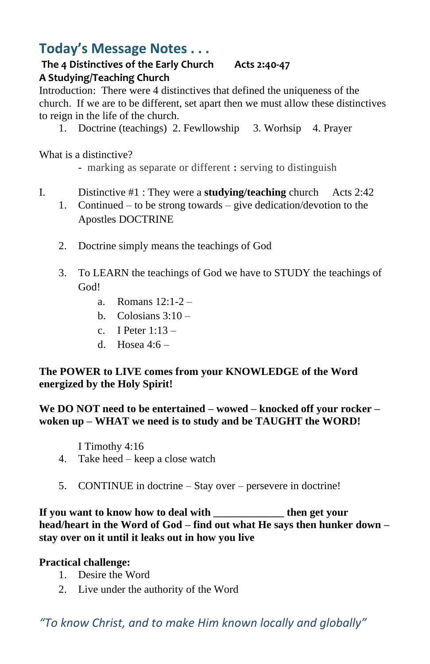#### **Today's Message Notes . . .**

#### **The 4 Distinctives of the Early Church Acts 2:40-47 A Studying/Teaching Church**

Introduction: There were 4 distinctives that defined the uniqueness of the church. If we are to be different, set apart then we must allow these distinctives to reign in the life of the church.

1. Doctrine (teachings) 2. Fewllowship 3. Worhsip 4. Prayer

What is a distinctive?

- marking as separate or different **:** serving to distinguish
- I. Distinctive #1 : They were a **studying/teaching** church Acts 2:42
	- 1. Continued to be strong towards give dedication/devotion to the Apostles DOCTRINE
		- 2. Doctrine simply means the teachings of God
		- 3. To LEARN the teachings of God we have to STUDY the teachings of God!
			- a. Romans 12:1-2 –
			- b. Colosians  $3:10-$
			- c. I Peter  $1:13$  –
			- d. Hosea  $4:6-$

#### **The POWER to LIVE comes from your KNOWLEDGE of the Word energized by the Holy Spirit!**

**We DO NOT need to be entertained – wowed – knocked off your rocker – woken up – WHAT we need is to study and be TAUGHT the WORD!**

I Timothy 4:16

- 4. Take heed keep a close watch
- 5. CONTINUE in doctrine Stay over persevere in doctrine!

If you want to know how to deal with the get your **head/heart in the Word of God – find out what He says then hunker down – stay over on it until it leaks out in how you live**

#### **Practical challenge:**

- 1. Desire the Word
- 2. Live under the authority of the Word